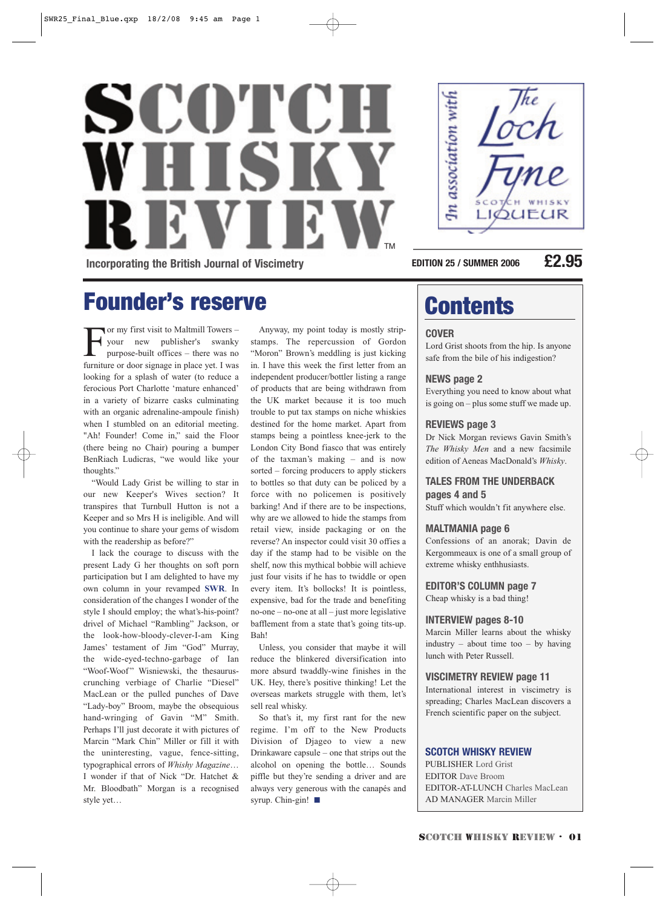# SCOTCH WHISK TM **Incorporating the British Journal of Viscimetry**



**EDITION 25 / SUMMER 2006 £2.95**

## Founder's reserve

For my first visit to Maltmill Towers –<br>your new publisher's swanky<br>purpose-built offices – there was no<br>furniture or door signage in place yet I was your new publisher's swanky purpose-built offices – there was no furniture or door signage in place yet. I was looking for a splash of water (to reduce a ferocious Port Charlotte 'mature enhanced' in a variety of bizarre casks culminating with an organic adrenaline-ampoule finish) when I stumbled on an editorial meeting. "Ah! Founder! Come in," said the Floor (there being no Chair) pouring a bumper BenRiach Ludicras, "we would like your thoughts."

"Would Lady Grist be willing to star in our new Keeper's Wives section? It transpires that Turnbull Hutton is not a Keeper and so Mrs H is ineligible. And will you continue to share your gems of wisdom with the readership as before?"

I lack the courage to discuss with the present Lady G her thoughts on soft porn participation but I am delighted to have my own column in your revamped **SWR**. In consideration of the changes I wonder of the style I should employ; the what's-his-point? drivel of Michael "Rambling" Jackson, or the look-how-bloody-clever-I-am King James' testament of Jim "God" Murray, the wide-eyed-techno-garbage of Ian "Woof-Woof" Wisniewski, the thesauruscrunching verbiage of Charlie "Diesel" MacLean or the pulled punches of Dave "Lady-boy" Broom, maybe the obsequious hand-wringing of Gavin "M" Smith. Perhaps I'll just decorate it with pictures of Marcin "Mark Chin" Miller or fill it with the uninteresting, vague, fence-sitting, typographical errors of *Whishy Magazine*… I wonder if that of Nick "Dr. Hatchet & Mr. Bloodbath" Morgan is a recognised style yet…

Anyway, my point today is mostly stripstamps. The repercussion of Gordon "Moron" Brown's meddling is just kicking in. I have this week the first letter from an independent producer/bottler listing a range of products that are being withdrawn from the UK market because it is too much trouble to put tax stamps on niche whiskies destined for the home market. Apart from stamps being a pointless knee-jerk to the London City Bond fiasco that was entirely of the taxman's making – and is now sorted – forcing producers to apply stickers to bottles so that duty can be policed by a force with no policemen is positively barking! And if there are to be inspections, why are we allowed to hide the stamps from retail view, inside packaging or on the reverse? An inspector could visit 30 offies a day if the stamp had to be visible on the shelf, now this mythical bobbie will achieve just four visits if he has to twiddle or open every item. It's bollocks! It is pointless, expensive, bad for the trade and benefiting no-one – no-one at all – just more legislative bafflement from a state that's going tits-up. Bah!

Unless, you consider that maybe it will reduce the blinkered diversification into more absurd twaddly-wine finishes in the UK. Hey, there's positive thinking! Let the overseas markets struggle with them, let's sell real whisky.

So that's it, my first rant for the new regime. I'm off to the New Products Division of Djageo to view a new Drinkaware capsule – one that strips out the alcohol on opening the bottle… Sounds piffle but they're sending a driver and are always very generous with the canapés and syrup. Chin-gin! ■

## **Contents**

#### **COVER**

Lord Grist shoots from the hip. Is anyone safe from the bile of his indigestion?

#### **NEWS page 2**

Everything you need to know about what is going on – plus some stuff we made up.

#### **REVIEWS page 3**

Dr Nick Morgan reviews Gavin Smith's *The Whisky Men* and a new facsimile edition of Aeneas MacDonald's *Whisky*.

#### **TALES FROM THE UNDERBACK pages 4 and 5**

Stuff which wouldn't fit anywhere else.

#### **MALTMANIA page 6**

Confessions of an anorak; Davin de Kergommeaux is one of a small group of extreme whisky enthhusiasts.

**EDITOR'S COLUMN page 7**

Cheap whisky is a bad thing!

#### **INTERVIEW pages 8-10**

Marcin Miller learns about the whisky industry – about time too – by having lunch with Peter Russell.

#### **VISCIMETRY REVIEW page 11**

International interest in viscimetry is spreading; Charles MacLean discovers a French scientific paper on the subject.

#### **SCOTCH WHISKY REVIEW**

PUBLISHER Lord Grist EDITOR Dave Broom EDITOR-AT-LUNCH Charles MacLean AD MANAGER Marcin Miller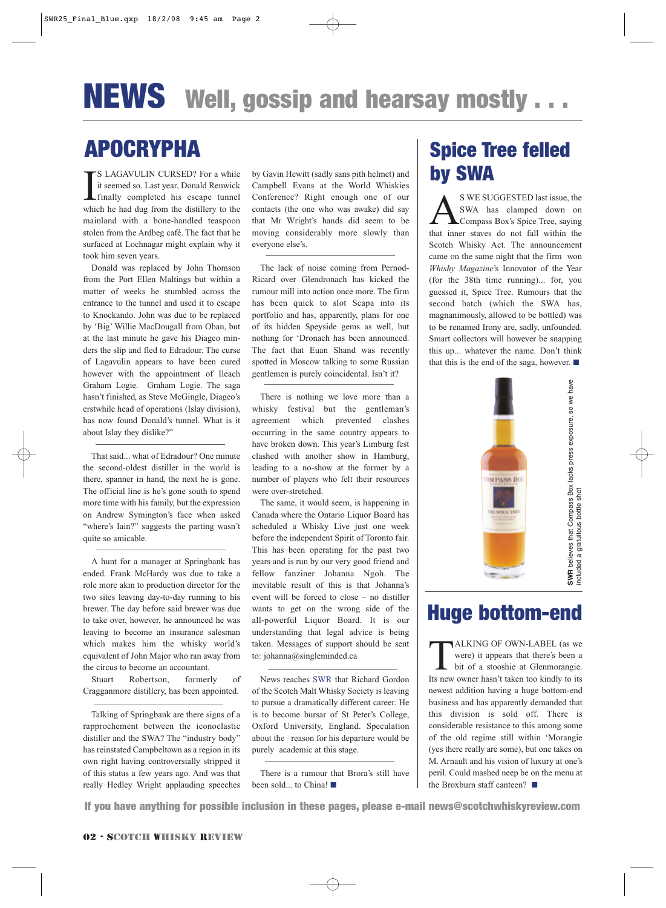## APOCRYPHA

I S LAGAVULIN CURSED? For a while it seemed so. Last year, Donald Renwick finally completed his escape tunnel which he had dug from the distillery to the mainland with a bone-handled teaspoon stolen from the Ardbeg café. The fact that he surfaced at Lochnagar might explain why it took him seven years.

Donald was replaced by John Thomson from the Port Ellen Maltings but within a matter of weeks he stumbled across the entrance to the tunnel and used it to escape to Knockando. John was due to be replaced by 'Big' Willie MacDougall from Oban, but at the last minute he gave his Diageo minders the slip and fled to Edradour. The curse of Lagavulin appears to have been cured however with the appointment of Ileach Graham Logie. Graham Logie. The saga hasn't finished, as Steve McGingle, Diageo's erstwhile head of operations (Islay division), has now found Donald's tunnel. What is it about Islay they dislike?"

That said... what of Edradour? One minute the second-oldest distiller in the world is there, spanner in hand, the next he is gone. The official line is he's gone south to spend more time with his family, but the expression on Andrew Symington's face when asked "where's Iain?" suggests the parting wasn't quite so amicable.

A hunt for a manager at Springbank has ended. Frank McHardy was due to take a role more akin to production director for the two sites leaving day-to-day running to his brewer. The day before said brewer was due to take over, however, he announced he was leaving to become an insurance salesman which makes him the whisky world's equivalent of John Major who ran away from the circus to become an accountant.

Stuart Robertson, formerly of Cragganmore distillery, has been appointed.

Talking of Springbank are there signs of a rapprochement between the iconoclastic distiller and the SWA? The "industry body" has reinstated Campbeltown as a region in its own right having controversially stripped it of this status a few years ago. And was that really Hedley Wright applauding speeches by Gavin Hewitt (sadly sans pith helmet) and Campbell Evans at the World Whiskies Conference? Right enough one of our contacts (the one who was awake) did say that Mr Wright's hands did seem to be moving considerably more slowly than everyone else's.

The lack of noise coming from Pernod-Ricard over Glendronach has kicked the rumour mill into action once more. The firm has been quick to slot Scapa into its portfolio and has, apparently, plans for one of its hidden Speyside gems as well, but nothing for 'Dronach has been announced. The fact that Euan Shand was recently spotted in Moscow talking to some Russian gentlemen is purely coincidental. Isn't it?

There is nothing we love more than a whisky festival but the gentleman's agreement which prevented clashes occurring in the same country appears to have broken down. This year's Limburg fest clashed with another show in Hamburg, leading to a no-show at the former by a number of players who felt their resources were over-stretched.

The same, it would seem, is happening in Canada where the Ontario Liquor Board has scheduled a Whisky Live just one week before the independent Spirit of Toronto fair. This has been operating for the past two years and is run by our very good friend and fellow fanziner Johanna Ngoh. The inevitable result of this is that Johanna's event will be forced to close – no distiller wants to get on the wrong side of the all-powerful Liquor Board. It is our understanding that legal advice is being taken. Messages of support should be sent to: johanna@singleminded.ca

News reaches SWR that Richard Gordon of the Scotch Malt Whisky Society is leaving to pursue a dramatically different career. He is to become bursar of St Peter's College, Oxford University, England. Speculation about the reason for his departure would be purely academic at this stage.

There is a rumour that Brora's still have been sold... to China! ■

### Spice Tree felled by SWA

SWE SUGGESTED last issue, the<br>SWA has clamped down on<br>that inner staves do not fall within the SWA has clamped down on Compass Box's Spice Tree, saying that inner staves do not fall within the Scotch Whisky Act. The announcement came on the same night that the firm won *Whishy Magazine*'s Innovator of the Year (for the 38th time running)... for, you guessed it, Spice Tree. Rumours that the second batch (which the SWA has, magnanimously, allowed to be bottled) was to be renamed Irony are, sadly, unfounded. Smart collectors will however be snapping this up... whatever the name. Don't think that this is the end of the saga, however. ■



### Huge bottom-end

TALKING OF OWN-LABEL (as we were) it appears that there's been a<br>bit of a stooshie at Glenmorangie. were) it appears that there's been a bit of a stooshie at Glenmorangie. Its new owner hasn't taken too kindly to its newest addition having a huge bottom-end business and has apparently demanded that this division is sold off. There is considerable resistance to this among some of the old regime still within 'Morangie (yes there really are some), but one takes on M. Arnault and his vision of luxury at one's peril. Could mashed neep be on the menu at the Broxburn staff canteen? ■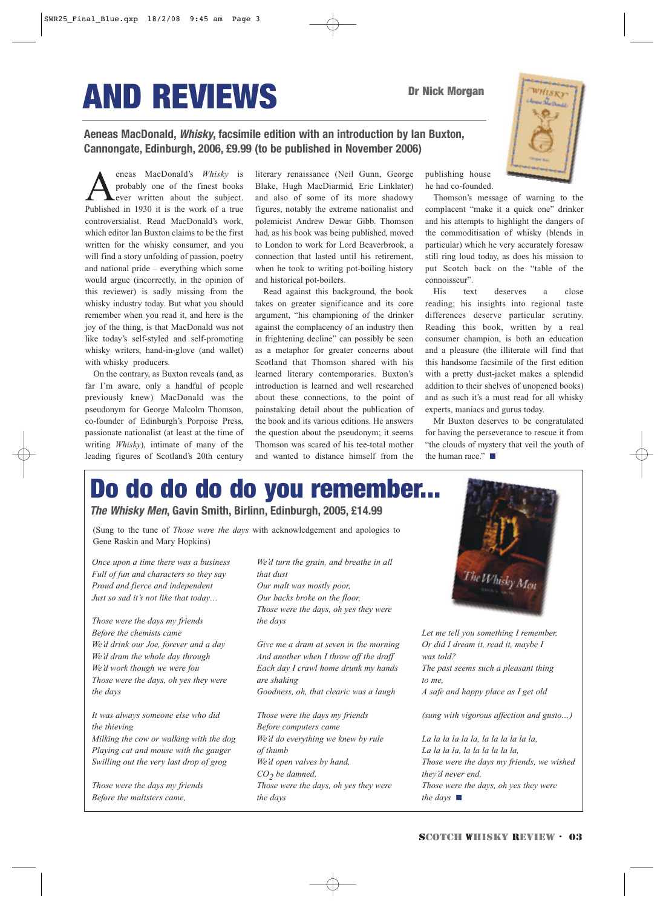# AND REVIEWS

**Aeneas MacDonald, Whisky, facsimile edition with an introduction by Ian Buxton, Cannongate, Edinburgh, 2006, £9.99 (to be published in November 2006)**

eneas MacDonald's *Whisky* is probably one of the finest books ever written about the subject. Published in 1930 it is the work of a true controversialist. Read MacDonald's work, which editor Ian Buxton claims to be the first written for the whisky consumer, and you will find a story unfolding of passion, poetry and national pride – everything which some would argue (incorrectly, in the opinion of this reviewer) is sadly missing from the whisky industry today. But what you should remember when you read it, and here is the joy of the thing, is that MacDonald was not like today's self-styled and self-promoting whisky writers, hand-in-glove (and wallet) with whisky producers.

On the contrary, as Buxton reveals (and, as far I'm aware, only a handful of people previously knew) MacDonald was the pseudonym for George Malcolm Thomson, co-founder of Edinburgh's Porpoise Press, passionate nationalist (at least at the time of writing *Whisky*), intimate of many of the leading figures of Scotland's 20th century

literary renaissance (Neil Gunn, George Blake, Hugh MacDiarmid, Eric Linklater) and also of some of its more shadowy figures, notably the extreme nationalist and polemicist Andrew Dewar Gibb. Thomson had, as his book was being published, moved to London to work for Lord Beaverbrook, a connection that lasted until his retirement, when he took to writing pot-boiling history and historical pot-boilers.

Read against this background, the book takes on greater significance and its core argument, "his championing of the drinker against the complacency of an industry then in frightening decline" can possibly be seen as a metaphor for greater concerns about Scotland that Thomson shared with his learned literary contemporaries. Buxton's introduction is learned and well researched about these connections, to the point of painstaking detail about the publication of the book and its various editions. He answers the question about the pseudonym; it seems Thomson was scared of his tee-total mother and wanted to distance himself from the publishing house he had co-founded.

Thomson's message of warning to the complacent "make it a quick one" drinker and his attempts to highlight the dangers of the commoditisation of whisky (blends in particular) which he very accurately foresaw still ring loud today, as does his mission to put Scotch back on the "table of the connoisseur".

His text deserves a close reading; his insights into regional taste differences deserve particular scrutiny. Reading this book, written by a real consumer champion, is both an education and a pleasure (the illiterate will find that this handsome facsimile of the first edition with a pretty dust-jacket makes a splendid addition to their shelves of unopened books) and as such it's a must read for all whisky experts, maniacs and gurus today.

Mr Buxton deserves to be congratulated for having the perseverance to rescue it from "the clouds of mystery that veil the youth of the human race." ■

## Do do do do do you remember...

**The Whisky Men, Gavin Smith, Birlinn, Edinburgh, 2005, £14.99**

(Sung to the tune of *Those were the days* with acknowledgement and apologies to Gene Raskin and Mary Hopkins)

*Once upon a time there was a business Full of fun and characters so they say Proud and fierce and independent Just so sad it's not like that today…*

*Those were the days my friends Before the chemists came We'd drink our Joe, forever and a day We'd dram the whole day through We'd work though we were fou Those were the days, oh yes they were the days*

*It was always someone else who did the thieving Milking the cow or walking with the dog*

*Playing cat and mouse with the gauger Swilling out the very last drop of grog*

*Those were the days my friends Before the maltsters came,*

*We'd turn the grain, and breathe in all that dust Our malt was mostly poor, Our backs broke on the floor, Those were the days, oh yes they were the days*

*Give me a dram at seven in the morning And another when I throw off the draff Each day I crawl home drunk my hands are shaking Goodness, oh, that clearic was a laugh*

*Those were the days my friends Before computers came We'd do everything we knew by rule of thumb We'd open valves by hand,*  CO<sub>2</sub> *be damned, Those were the days, oh yes they were the days*



*Let me tell you something I remember, Or did I dream it, read it, maybe I was told? The past seems such a pleasant thing to me, A safe and happy place as I get old*

*(sung with vigorous affection and gusto…)*

*La la la la la la, la la la la la la, La la la la, la la la la la la, Those were the days my friends, we wished they'd never end, Those were the days, oh yes they were the days* ■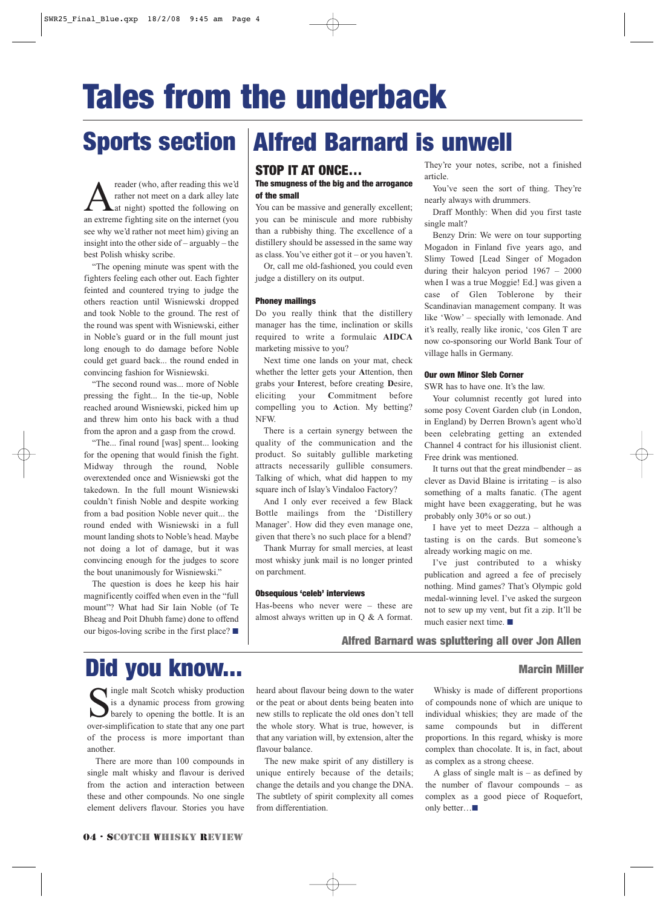# Tales from the underback

reader (who, after reading this we'd<br>
rather not meet on a dark alley late<br>
an extreme fighting site on the internet (you rather not meet on a dark alley late at night) spotted the following on an extreme fighting site on the internet (you see why we'd rather not meet him) giving an insight into the other side of – arguably – the best Polish whisky scribe.

"The opening minute was spent with the fighters feeling each other out. Each fighter feinted and countered trying to judge the others reaction until Wisniewski dropped and took Noble to the ground. The rest of the round was spent with Wisniewski, either in Noble's guard or in the full mount just long enough to do damage before Noble could get guard back... the round ended in convincing fashion for Wisniewski.

"The second round was... more of Noble pressing the fight... In the tie-up, Noble reached around Wisniewski, picked him up and threw him onto his back with a thud from the apron and a gasp from the crowd.

"The... final round [was] spent... looking for the opening that would finish the fight. Midway through the round, Noble overextended once and Wisniewski got the takedown. In the full mount Wisniewski couldn't finish Noble and despite working from a bad position Noble never quit... the round ended with Wisniewski in a full mount landing shots to Noble's head. Maybe not doing a lot of damage, but it was convincing enough for the judges to score the bout unanimously for Wisniewski."

The question is does he keep his hair magnificently coiffed when even in the "full mount"? What had Sir Iain Noble (of Te Bheag and Poit Dhubh fame) done to offend our bigos-loving scribe in the first place? ■

## Sports section | Alfred Barnard is unwell

#### STOP IT AT ONCE…

#### The smugness of the big and the arrogance of the small

You can be massive and generally excellent; you can be miniscule and more rubbishy than a rubbishy thing. The excellence of a distillery should be assessed in the same way as class. You've either got it – or you haven't.

Or, call me old-fashioned, you could even judge a distillery on its output.

#### Phoney mailings

Do you really think that the distillery manager has the time, inclination or skills required to write a formulaic **AIDCA** marketing missive to you?

Next time one lands on your mat, check whether the letter gets your **A**ttention, then grabs your **I**nterest, before creating **D**esire, eliciting your **C**ommitment before compelling you to **A**ction. My betting? NFW.

There is a certain synergy between the quality of the communication and the product. So suitably gullible marketing attracts necessarily gullible consumers. Talking of which, what did happen to my square inch of Islay's Vindaloo Factory?

And I only ever received a few Black Bottle mailings from the 'Distillery Manager'. How did they even manage one, given that there's no such place for a blend?

Thank Murray for small mercies, at least most whisky junk mail is no longer printed on parchment.

#### Obsequious 'celeb' interviews

Has-beens who never were – these are almost always written up in Q & A format. They're your notes, scribe, not a finished article.

You've seen the sort of thing. They're nearly always with drummers.

Draff Monthly: When did you first taste single malt?

Benzy Drin: We were on tour supporting Mogadon in Finland five years ago, and Slimy Towed [Lead Singer of Mogadon during their halcyon period 1967 – 2000 when I was a true Moggie! Ed.] was given a case of Glen Toblerone by their Scandinavian management company. It was like 'Wow' – specially with lemonade. And it's really, really like ironic, 'cos Glen T are now co-sponsoring our World Bank Tour of village halls in Germany.

#### Our own Minor Sleb Corner

SWR has to have one. It's the law.

Your columnist recently got lured into some posy Covent Garden club (in London, in England) by Derren Brown's agent who'd been celebrating getting an extended Channel 4 contract for his illusionist client. Free drink was mentioned.

It turns out that the great mindbender – as clever as David Blaine is irritating – is also something of a malts fanatic. (The agent might have been exaggerating, but he was probably only 30% or so out.)

I have yet to meet Dezza – although a tasting is on the cards. But someone's already working magic on me.

I've just contributed to a whisky publication and agreed a fee of precisely nothing. Mind games? That's Olympic gold medal-winning level. I've asked the surgeon not to sew up my vent, but fit a zip. It'll be much easier next time. ■

#### Alfred Barnard was spluttering all over Jon Allen

## Did you know... Marcin Miller

Single malt Scotch whisky production<br>is a dynamic process from growing<br>barely to opening the bottle. It is an is a dynamic process from growing barely to opening the bottle. It is an over-simplification to state that any one part of the process is more important than another.

There are more than 100 compounds in single malt whisky and flavour is derived from the action and interaction between these and other compounds. No one single element delivers flavour. Stories you have

heard about flavour being down to the water or the peat or about dents being beaten into new stills to replicate the old ones don't tell the whole story. What is true, however, is that any variation will, by extension, alter the flavour balance.

The new make spirit of any distillery is unique entirely because of the details; change the details and you change the DNA. The subtlety of spirit complexity all comes from differentiation.

Whisky is made of different proportions of compounds none of which are unique to individual whiskies; they are made of the same compounds but in different proportions. In this regard, whisky is more complex than chocolate. It is, in fact, about as complex as a strong cheese.

A glass of single malt is  $-$  as defined by the number of flavour compounds – as complex as a good piece of Roquefort, only better…■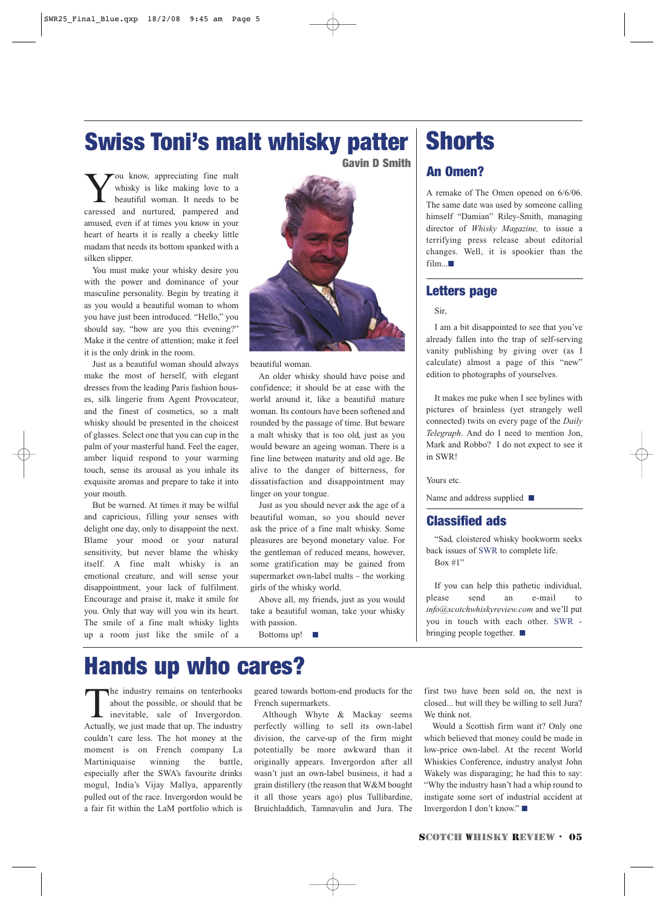## Swiss Toni's malt whisky patter

Gavin D Smith

You know, appreciating fine malt whisky is like making love to a beautiful woman. It needs to be caressed and nurtured, pampered and amused, even if at times you know in your heart of hearts it is really a cheeky little madam that needs its bottom spanked with a silken slipper.

You must make your whisky desire you with the power and dominance of your masculine personality. Begin by treating it as you would a beautiful woman to whom you have just been introduced. "Hello," you should say, "how are you this evening?" Make it the centre of attention; make it feel it is the only drink in the room.

Just as a beautiful woman should always make the most of herself, with elegant dresses from the leading Paris fashion houses, silk lingerie from Agent Provocateur, and the finest of cosmetics, so a malt whisky should be presented in the choicest of glasses. Select one that you can cup in the palm of your masterful hand. Feel the eager, amber liquid respond to your warming touch, sense its arousal as you inhale its exquisite aromas and prepare to take it into your mouth.

But be warned. At times it may be wilful and capricious, filling your senses with delight one day, only to disappoint the next. Blame your mood or your natural sensitivity, but never blame the whisky itself. A fine malt whisky is an emotional creature, and will sense your disappointment, your lack of fulfilment. Encourage and praise it, make it smile for you. Only that way will you win its heart. The smile of a fine malt whisky lights up a room just like the smile of a



beautiful woman.

An older whisky should have poise and confidence; it should be at ease with the world around it, like a beautiful mature woman. Its contours have been softened and rounded by the passage of time. But beware a malt whisky that is too old, just as you would beware an ageing woman. There is a fine line between maturity and old age. Be alive to the danger of bitterness, for dissatisfaction and disappointment may linger on your tongue.

Just as you should never ask the age of a beautiful woman, so you should never ask the price of a fine malt whisky. Some pleasures are beyond monetary value. For the gentleman of reduced means, however, some gratification may be gained from supermarket own-label malts – the working girls of the whisky world.

Above all, my friends, just as you would take a beautiful woman, take your whisky with passion.

Bottoms up! ■

### **Shorts**

#### An Omen?

A remake of The Omen opened on 6/6/06. The same date was used by someone calling himself "Damian" Riley-Smith, managing director of *Whisky Magazine,* to issue a terrifying press release about editorial changes. Well, it is spookier than the  $film.$ ■

#### Letters page

#### Sir,

I am a bit disappointed to see that you've already fallen into the trap of self-serving vanity publishing by giving over (as I calculate) almost a page of this "new" edition to photographs of yourselves.

It makes me puke when I see bylines with pictures of brainless (yet strangely well connected) twits on every page of the *Daily Telegraph*. And do I need to mention Jon, Mark and Robbo? I do not expect to see it in SWR!

Yours etc.

Name and address supplied ■

#### Classified ads

"Sad, cloistered whisky bookworm seeks back issues of SWR to complete life. Box  $\#1$ "

If you can help this pathetic individual, please send an e-mail to *info@scotchwhiskyreview.com* and we'll put you in touch with each other. SWR bringing people together. ■

### Hands up who cares?

The industry remains on tenterhooks<br>about the possible, or should that be<br>inevitable, sale of Invergordon. about the possible, or should that be inevitable, sale of Invergordon. Actually, we just made that up. The industry couldn't care less. The hot money at the moment is on French company La Martiniquaise winning the battle, especially after the SWA's favourite drinks mogul, India's Vijay Mallya, apparently pulled out of the race. Invergordon would be a fair fit within the LaM portfolio which is

geared towards bottom-end products for the French supermarkets.

Although Whyte & Mackay seems perfectly willing to sell its own-label division, the carve-up of the firm might potentially be more awkward than it originally appears. Invergordon after all wasn't just an own-label business, it had a grain distillery (the reason that W&M bought it all those years ago) plus Tullibardine, Bruichladdich, Tamnavulin and Jura. The first two have been sold on, the next is closed... but will they be willing to sell Jura? We think not.

Would a Scottish firm want it? Only one which believed that money could be made in low-price own-label. At the recent World Whiskies Conference, industry analyst John Wakely was disparaging; he had this to say: "Why the industry hasn't had a whip round to instigate some sort of industrial accident at Invergordon I don't know." ■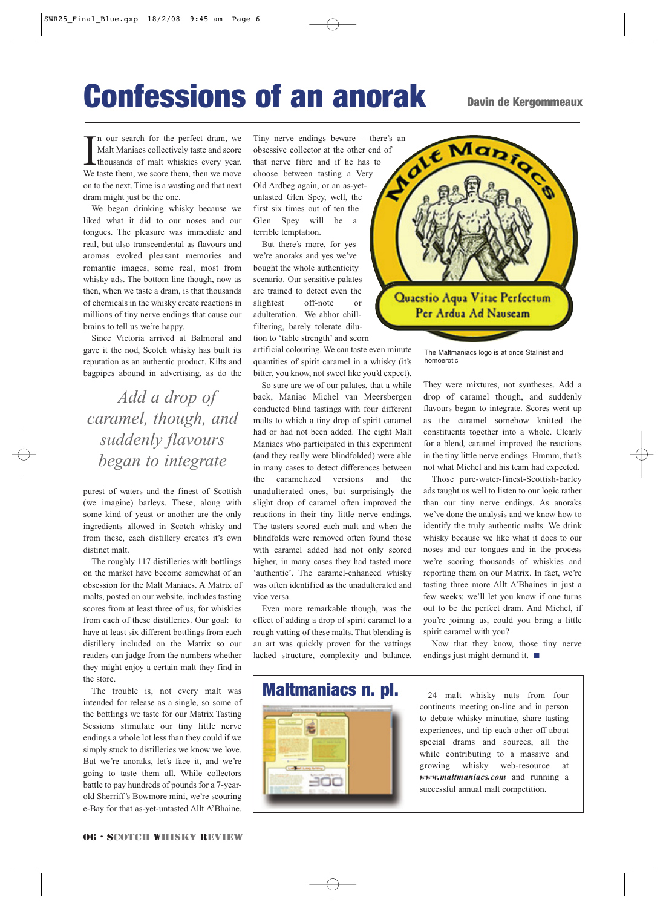## Confessions of an anorak Davin de Kergommeaux

I'm our search for the perfect dram, we Malt Maniacs collectively taste and score thousands of malt whiskies every year.<br>We taste them, we score them, then we move n our search for the perfect dram, we Malt Maniacs collectively taste and score thousands of malt whiskies every year. on to the next. Time is a wasting and that next dram might just be the one.

We began drinking whisky because we liked what it did to our noses and our tongues. The pleasure was immediate and real, but also transcendental as flavours and aromas evoked pleasant memories and romantic images, some real, most from whisky ads. The bottom line though, now as then, when we taste a dram, is that thousands of chemicals in the whisky create reactions in millions of tiny nerve endings that cause our brains to tell us we're happy.

Since Victoria arrived at Balmoral and gave it the nod, Scotch whisky has built its reputation as an authentic product. Kilts and bagpipes abound in advertising, as do the

*Add a drop of caramel, though, and suddenly flavours began to integrate*

purest of waters and the finest of Scottish (we imagine) barleys. These, along with some kind of yeast or another are the only ingredients allowed in Scotch whisky and from these, each distillery creates it's own distinct malt.

The roughly 117 distilleries with bottlings on the market have become somewhat of an obsession for the Malt Maniacs. A Matrix of malts, posted on our website, includes tasting scores from at least three of us, for whiskies from each of these distilleries. Our goal: to have at least six different bottlings from each distillery included on the Matrix so our readers can judge from the numbers whether they might enjoy a certain malt they find in the store.

The trouble is, not every malt was intended for release as a single, so some of the bottlings we taste for our Matrix Tasting Sessions stimulate our tiny little nerve endings a whole lot less than they could if we simply stuck to distilleries we know we love. But we're anoraks, let's face it, and we're going to taste them all. While collectors battle to pay hundreds of pounds for a 7-yearold Sherriff's Bowmore mini, we're scouring e-Bay for that as-yet-untasted Allt A'Bhaine.

Tiny nerve endings beware – there's an obsessive collector at the other end of that nerve fibre and if he has to choose between tasting a Verve Old Ardbey and i obsessive collector at the other end of that nerve fibre and if he has to choose between tasting a Very Old Ardbeg again, or an as-yetuntasted Glen Spey, well, the first six times out of ten the Glen Spey will be a terrible temptation.

But there's more, for yes we're anoraks and yes we've bought the whole authenticity scenario. Our sensitive palates are trained to detect even the slightest off-note or adulteration. We abhor chillfiltering, barely tolerate dilution to 'table strength' and scorn

artificial colouring. We can taste even minute quantities of spirit caramel in a whisky (it's bitter, you know, not sweet like you'd expect).

So sure are we of our palates, that a while back, Maniac Michel van Meersbergen conducted blind tastings with four different malts to which a tiny drop of spirit caramel had or had not been added. The eight Malt Maniacs who participated in this experiment (and they really were blindfolded) were able in many cases to detect differences between the caramelized versions and the unadulterated ones, but surprisingly the slight drop of caramel often improved the reactions in their tiny little nerve endings. The tasters scored each malt and when the blindfolds were removed often found those with caramel added had not only scored higher, in many cases they had tasted more 'authentic'. The caramel-enhanced whisky was often identified as the unadulterated and vice versa.

Even more remarkable though, was the effect of adding a drop of spirit caramel to a rough vatting of these malts. That blending is an art was quickly proven for the vattings lacked structure, complexity and balance.

EOC



The Maltmaniacs logo is at once Stalinist and homoerotic

They were mixtures, not syntheses. Add a drop of caramel though, and suddenly flavours began to integrate. Scores went up as the caramel somehow knitted the constituents together into a whole. Clearly for a blend, caramel improved the reactions in the tiny little nerve endings. Hmmm, that's not what Michel and his team had expected.

Those pure-water-finest-Scottish-barley ads taught us well to listen to our logic rather than our tiny nerve endings. As anoraks we've done the analysis and we know how to identify the truly authentic malts. We drink whisky because we like what it does to our noses and our tongues and in the process we're scoring thousands of whiskies and reporting them on our Matrix. In fact, we're tasting three more Allt A'Bhaines in just a few weeks; we'll let you know if one turns out to be the perfect dram. And Michel, if you're joining us, could you bring a little spirit caramel with you?

Now that they know, those tiny nerve endings just might demand it. ■

**Maltmaniacs n. pl.** 24 malt whisky nuts from four continents meeting on-line and in person to debate whisky minutiae, share tasting experiences, and tip each other off about special drams and sources, all the while contributing to a massive and growing whisky web-resource at *www.maltmaniacs.com* and running a successful annual malt competition.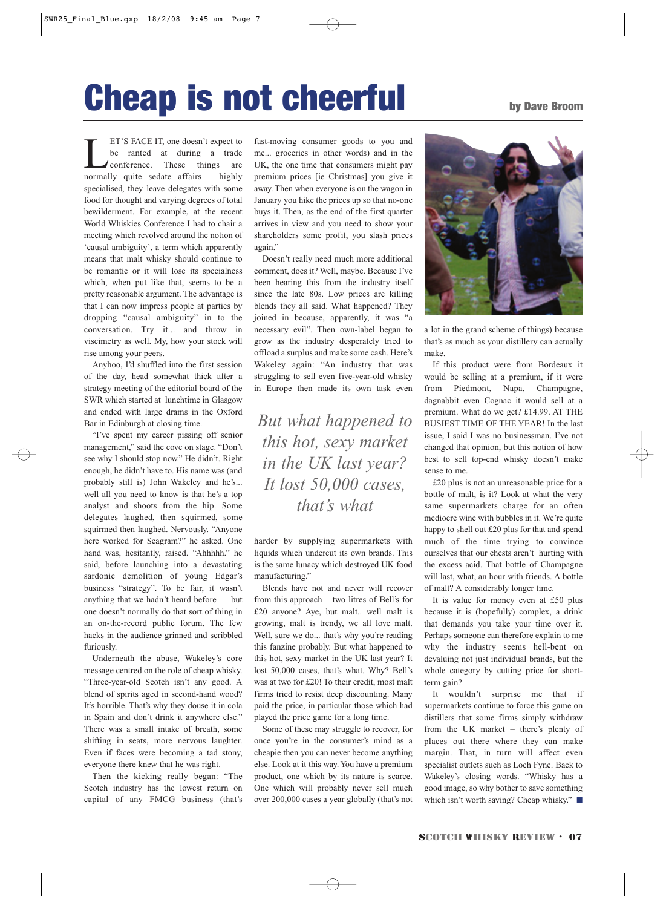# Cheap is not cheerful by Dave Broom

ET'S FACE IT, one doesn't expect to<br>be ranted at during a trade<br>conference. These things are<br>normally quite sedate affairs – highly be ranted at during a trade conference. These things are normally quite sedate affairs – highly specialised, they leave delegates with some food for thought and varying degrees of total bewilderment. For example, at the recent World Whiskies Conference I had to chair a meeting which revolved around the notion of 'causal ambiguity', a term which apparently means that malt whisky should continue to be romantic or it will lose its specialness which, when put like that, seems to be a pretty reasonable argument. The advantage is that I can now impress people at parties by dropping "causal ambiguity" in to the conversation. Try it... and throw in viscimetry as well. My, how your stock will rise among your peers.

Anyhoo, I'd shuffled into the first session of the day, head somewhat thick after a strategy meeting of the editorial board of the SWR which started at lunchtime in Glasgow and ended with large drams in the Oxford Bar in Edinburgh at closing time.

"I've spent my career pissing off senior management," said the cove on stage. "Don't see why I should stop now." He didn't. Right enough, he didn't have to. His name was (and probably still is) John Wakeley and he's... well all you need to know is that he's a top analyst and shoots from the hip. Some delegates laughed, then squirmed, some squirmed then laughed. Nervously. "Anyone here worked for Seagram?" he asked. One hand was, hesitantly, raised. "Ahhhhh." he said, before launching into a devastating sardonic demolition of young Edgar's business "strategy". To be fair, it wasn't anything that we hadn't heard before — but one doesn't normally do that sort of thing in an on-the-record public forum. The few hacks in the audience grinned and scribbled furiously.

Underneath the abuse, Wakeley's core message centred on the role of cheap whisky. "Three-year-old Scotch isn't any good. A blend of spirits aged in second-hand wood? It's horrible. That's why they douse it in cola in Spain and don't drink it anywhere else." There was a small intake of breath, some shifting in seats, more nervous laughter. Even if faces were becoming a tad stony, everyone there knew that he was right.

Then the kicking really began: "The Scotch industry has the lowest return on capital of any FMCG business (that's fast-moving consumer goods to you and me... groceries in other words) and in the UK, the one time that consumers might pay premium prices [ie Christmas] you give it away. Then when everyone is on the wagon in January you hike the prices up so that no-one buys it. Then, as the end of the first quarter arrives in view and you need to show your shareholders some profit, you slash prices again."

Doesn't really need much more additional comment, does it? Well, maybe. Because I've been hearing this from the industry itself since the late 80s. Low prices are killing blends they all said. What happened? They joined in because, apparently, it was "a necessary evil". Then own-label began to grow as the industry desperately tried to offload a surplus and make some cash. Here's Wakeley again: "An industry that was struggling to sell even five-year-old whisky in Europe then made its own task even

*But what happened to this hot, sexy market in the UK last year? It lost 50,000 cases, that's what* 

harder by supplying supermarkets with liquids which undercut its own brands. This is the same lunacy which destroyed UK food manufacturing."

Blends have not and never will recover from this approach – two litres of Bell's for £20 anyone? Aye, but malt.. well malt is growing, malt is trendy, we all love malt. Well, sure we do... that's why you're reading this fanzine probably. But what happened to this hot, sexy market in the UK last year? It lost 50,000 cases, that's what. Why? Bell's was at two for £20! To their credit, most malt firms tried to resist deep discounting. Many paid the price, in particular those which had played the price game for a long time.

Some of these may struggle to recover, for once you're in the consumer's mind as a cheapie then you can never become anything else. Look at it this way. You have a premium product, one which by its nature is scarce. One which will probably never sell much over 200,000 cases a year globally (that's not



a lot in the grand scheme of things) because that's as much as your distillery can actually make.

If this product were from Bordeaux it would be selling at a premium, if it were from Piedmont, Napa, Champagne, dagnabbit even Cognac it would sell at a premium. What do we get? £14.99. AT THE BUSIEST TIME OF THE YEAR! In the last issue, I said I was no businessman. I've not changed that opinion, but this notion of how best to sell top-end whisky doesn't make sense to me.

£20 plus is not an unreasonable price for a bottle of malt, is it? Look at what the very same supermarkets charge for an often mediocre wine with bubbles in it. We're quite happy to shell out £20 plus for that and spend much of the time trying to convince ourselves that our chests aren't hurting with the excess acid. That bottle of Champagne will last, what, an hour with friends. A bottle of malt? A considerably longer time.

It is value for money even at £50 plus because it is (hopefully) complex, a drink that demands you take your time over it. Perhaps someone can therefore explain to me why the industry seems hell-bent on devaluing not just individual brands, but the whole category by cutting price for shortterm gain?

It wouldn't surprise me that if supermarkets continue to force this game on distillers that some firms simply withdraw from the UK market – there's plenty of places out there where they can make margin. That, in turn will affect even specialist outlets such as Loch Fyne. Back to Wakeley's closing words. "Whisky has a good image, so why bother to save something which isn't worth saving? Cheap whisky." ■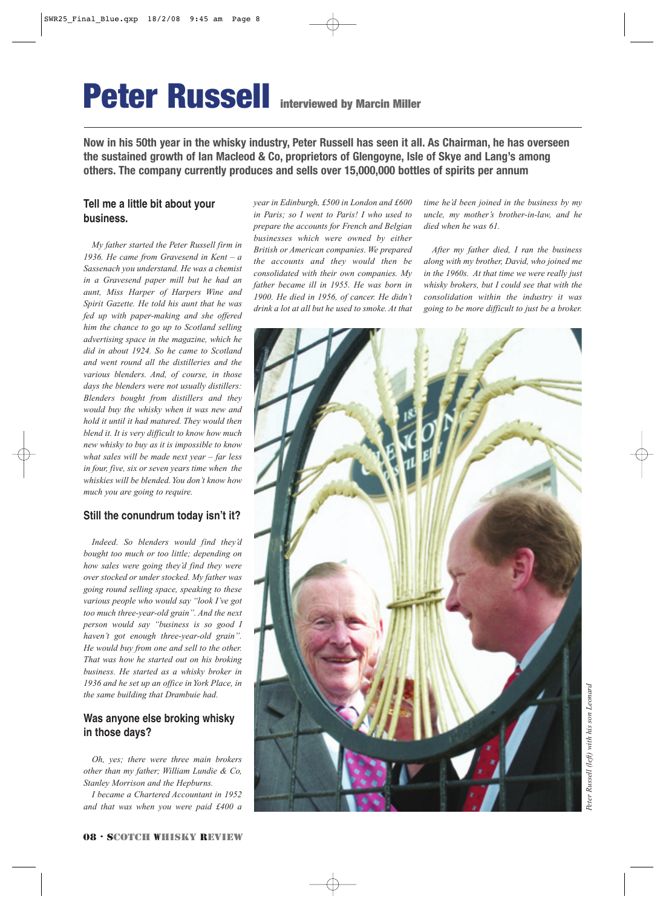## Peter Russell interviewed by Marcin Miller

**Now in his 50th year in the whisky industry, Peter Russell has seen it all. As Chairman, he has overseen the sustained growth of Ian Macleod & Co, proprietors of Glengoyne, Isle of Skye and Lang's among others. The company currently produces and sells over 15,000,000 bottles of spirits per annum**

#### **Tell me a little bit about your business.**

*My father started the Peter Russell firm in 1936. He came from Gravesend in Kent – a Sassenach you understand. He was a chemist in a Gravesend paper mill but he had an aunt, Miss Harper of Harpers Wine and Spirit Gazette. He told his aunt that he was fed up with paper-making and she offered him the chance to go up to Scotland selling advertising space in the magazine, which he did in about 1924. So he came to Scotland and went round all the distilleries and the various blenders. And, of course, in those days the blenders were not usually distillers: Blenders bought from distillers and they would buy the whisky when it was new and hold it until it had matured. They would then blend it. It is very difficult to know how much new whisky to buy as it is impossible to know what sales will be made next year – far less in four, five, six or seven years time when the whiskies will be blended. You don't know how much you are going to require.*

#### **Still the conundrum today isn't it?**

*Indeed. So blenders would find they'd bought too much or too little; depending on how sales were going they'd find they were over stocked or under stocked. My father was going round selling space, speaking to these various people who would say "look I've got too much three-year-old grain". And the next person would say "business is so good I haven't got enough three-year-old grain". He would buy from one and sell to the other. That was how he started out on his broking business. He started as a whisky broker in 1936 and he set up an office in York Place, in the same building that Drambuie had.* 

#### **Was anyone else broking whisky in those days?**

*Oh, yes; there were three main brokers other than my father; William Lundie & Co, Stanley Morrison and the Hepburns.* 

*I became a Chartered Accountant in 1952 and that was when you were paid £400 a* *year in Edinburgh, £500 in London and £600 in Paris; so I went to Paris! I who used to prepare the accounts for French and Belgian businesses which were owned by either British or American companies. We prepared the accounts and they would then be consolidated with their own companies. My father became ill in 1955. He was born in 1900. He died in 1956, of cancer. He didn't drink a lot at all but he used to smoke. At that*

*time he'd been joined in the business by my uncle, my mother's brother-in-law, and he died when he was 61.*

*After my father died, I ran the business along with my brother, David, who joined me in the 1960s. At that time we were really just whisky brokers, but I could see that with the consolidation within the industry it was going to be more difficult to just be a broker.*

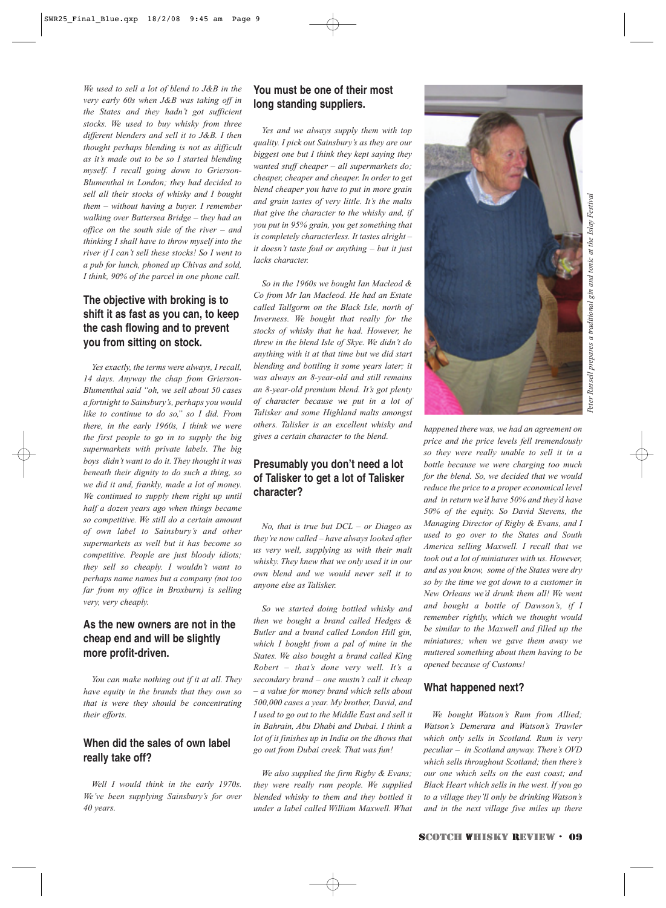*Peter Russell prepares a traditional gin and tonic at the Islay Festival* Russell prepares a traditional gin and tonic at the Islav Festival Peter I

*We used to sell a lot of blend to J&B in the very early 60s when J&B was taking off in the States and they hadn't got sufficient stocks. We used to buy whisky from three different blenders and sell it to J&B. I then thought perhaps blending is not as difficult as it's made out to be so I started blending myself. I recall going down to Grierson-Blumenthal in London; they had decided to sell all their stocks of whisky and I bought them – without having a buyer. I remember walking over Battersea Bridge – they had an office on the south side of the river – and thinking I shall have to throw myself into the river if I can't sell these stocks! So I went to a pub for lunch, phoned up Chivas and sold, I think, 90% of the parcel in one phone call.*

### **The objective with broking is to shift it as fast as you can, to keep the cash flowing and to prevent you from sitting on stock.**

*Yes exactly, the terms were always, I recall, 14 days. Anyway the chap from Grierson-Blumenthal said "oh, we sell about 50 cases a fortnight to Sainsbury's, perhaps you would like to continue to do so," so I did. From there, in the early 1960s, I think we were the first people to go in to supply the big supermarkets with private labels. The big boys didn't want to do it. They thought it was beneath their dignity to do such a thing, so we did it and, frankly, made a lot of money. We continued to supply them right up until half a dozen years ago when things became so competitive. We still do a certain amount of own label to Sainsbury's and other supermarkets as well but it has become so competitive. People are just bloody idiots; they sell so cheaply. I wouldn't want to perhaps name names but a company (not too far from my office in Broxburn) is selling very, very cheaply.* 

### **As the new owners are not in the cheap end and will be slightly more profit-driven.**

*You can make nothing out if it at all. They have equity in the brands that they own so that is were they should be concentrating their efforts.*

### **When did the sales of own label really take off?**

*Well I would think in the early 1970s. We've been supplying Sainsbury's for over 40 years.*

### **You must be one of their most long standing suppliers.**

*Yes and we always supply them with top quality. I pick out Sainsbury's as they are our biggest one but I think they kept saying they wanted stuff cheaper – all supermarkets do; cheaper, cheaper and cheaper. In order to get blend cheaper you have to put in more grain and grain tastes of very little. It's the malts that give the character to the whisky and, if you put in 95% grain, you get something that is completely characterless. It tastes alright – it doesn't taste foul or anything – but it just lacks character.*

*So in the 1960s we bought Ian Macleod & Co from Mr Ian Macleod. He had an Estate called Tallgorm on the Black Isle, north of Inverness. We bought that really for the stocks of whisky that he had. However, he threw in the blend Isle of Skye. We didn't do anything with it at that time but we did start blending and bottling it some years later; it was always an 8-year-old and still remains an 8-year-old premium blend. It's got plenty of character because we put in a lot of Talisker and some Highland malts amongst others. Talisker is an excellent whisky and gives a certain character to the blend.*

### **Presumably you don't need a lot of Talisker to get a lot of Talisker character?**

*No, that is true but DCL – or Diageo as they're now called – have always looked after us very well, supplying us with their malt whisky. They knew that we only used it in our own blend and we would never sell it to anyone else as Talisker.*

*So we started doing bottled whisky and then we bought a brand called Hedges & Butler and a brand called London Hill gin, which I bought from a pal of mine in the States. We also bought a brand called King Robert – that's done very well. It's a secondary brand – one mustn't call it cheap – a value for money brand which sells about 500,000 cases a year. My brother, David, and I used to go out to the Middle East and sell it in Bahrain, Abu Dhabi and Dubai. I think a lot of it finishes up in India on the dhows that go out from Dubai creek. That was fun!* 

*We also supplied the firm Rigby & Evans; they were really rum people. We supplied blended whisky to them and they bottled it under a label called William Maxwell. What*



*reduce the price to a proper economical level and in return we'd have 50% and they'd have 50% of the equity. So David Stevens, the Managing Director of Rigby & Evans, and I used to go over to the States and South America selling Maxwell. I recall that we took out a lot of miniatures with us. However, and as you know, some of the States were dry so by the time we got down to a customer in New Orleans we'd drunk them all! We went and bought a bottle of Dawson's, if I remember rightly, which we thought would be similar to the Maxwell and filled up the miniatures; when we gave them away we muttered something about them having to be opened because of Customs!*

#### **What happened next?**

*We bought Watson's Rum from Allied; Watson's Demerara and Watson's Trawler which only sells in Scotland. Rum is very peculiar – in Scotland anyway. There's OVD which sells throughout Scotland; then there's our one which sells on the east coast; and Black Heart which sells in the west. If you go to a village they'll only be drinking Watson's and in the next village five miles up there*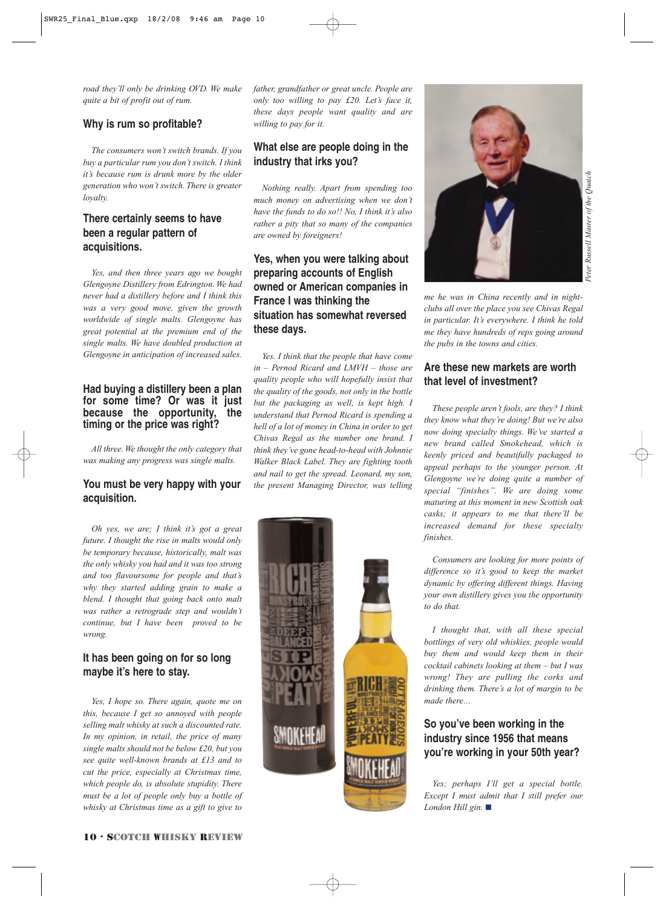*road they'll only be drinking OVD. We make quite a bit of profit out of rum.*

#### **Why is rum so profitable?**

*The consumers won't switch brands. If you buy a particular rum you don't switch. I think it's because rum is drunk more by the older generation who won't switch. There is greater loyalty.*

### **There certainly seems to have been a regular pattern of acquisitions.**

*Yes, and then three years ago we bought Glengoyne Distillery from Edrington. We had never had a distillery before and I think this was a very good move, given the growth worldwide of single malts. Glengoyne has great potential at the premium end of the single malts. We have doubled production at Glengoyne in anticipation of increased sales.*

#### **Had buying a distillery been a plan for some time? Or was it just because the opportunity, the timing or the price was right?**

*All three. We thought the only category that was making any progress was single malts.* 

#### **You must be very happy with your acquisition.**

*Oh yes, we are; I think it's got a great future. I thought the rise in malts would only be temporary because, historically, malt was the only whisky you had and it was too strong and too flavoursome for people and that's why they started adding grain to make a blend. I thought that going back onto malt was rather a retrograde step and wouldn't continue, but I have been proved to be wrong.*

#### **It has been going on for so long maybe it's here to stay.**

*Yes, I hope so. There again, quote me on this, because I get so annoyed with people selling malt whisky at such a discounted rate. In my opinion, in retail, the price of many single malts should not be below £20, but you see quite well-known brands at £13 and to cut the price, especially at Christmas time, which people do, is absolute stupidity. There must be a lot of people only buy a bottle of whisky at Christmas time as a gift to give to*

*father, grandfather or great uncle. People are only too willing to pay £20. Let's face it, these days people want quality and are willing to pay for it.* 

### **What else are people doing in the industry that irks you?**

*Nothing really. Apart from spending too much money on advertising when we don't have the funds to do so!! No, I think it's also rather a pity that so many of the companies are owned by foreigners!*

### **Yes, when you were talking about preparing accounts of English owned or American companies in France I was thinking the situation has somewhat reversed these days.**

*Yes. I think that the people that have come in – Pernod Ricard and LMVH – those are quality people who will hopefully insist that the quality of the goods, not only in the bottle but the packaging as well, is kept high. I understand that Pernod Ricard is spending a hell of a lot of money in China in order to get Chivas Regal as the number one brand. I think they've gone head-to-head with Johnnie Walker Black Label. They are fighting tooth and nail to get the spread. Leonard, my son, the present Managing Director, was telling*





*me he was in China recently and in nightclubs all over the place you see Chivas Regal in particular. It's everywhere. I think he told me they have hundreds of reps going around the pubs in the towns and cities.*

#### **Are these new markets are worth that level of investment?**

*These people aren't fools, are they? I think they know what they're doing! But we're also now doing specialty things. We've started a new brand called Smokehead, which is keenly priced and beautifully packaged to appeal perhaps to the younger person. At Glengoyne we're doing quite a number of special "finishes". We are doing some maturing at this moment in new Scottish oak casks; it appears to me that there'll be increased demand for these specialty finishes.*

*Consumers are looking for more points of difference so it's good to keep the market dynamic by offering different things. Having your own distillery gives you the opportunity to do that.*

*I thought that, with all these special bottlings of very old whiskies, people would buy them and would keep them in their cocktail cabinets looking at them – but I was wrong! They are pulling the corks and drinking them. There's a lot of margin to be made there…*

#### **So you've been working in the industry since 1956 that means you're working in your 50th year?**

*Yes; perhaps I'll get a special bottle. Except I must admit that I still prefer our London Hill gin.* ■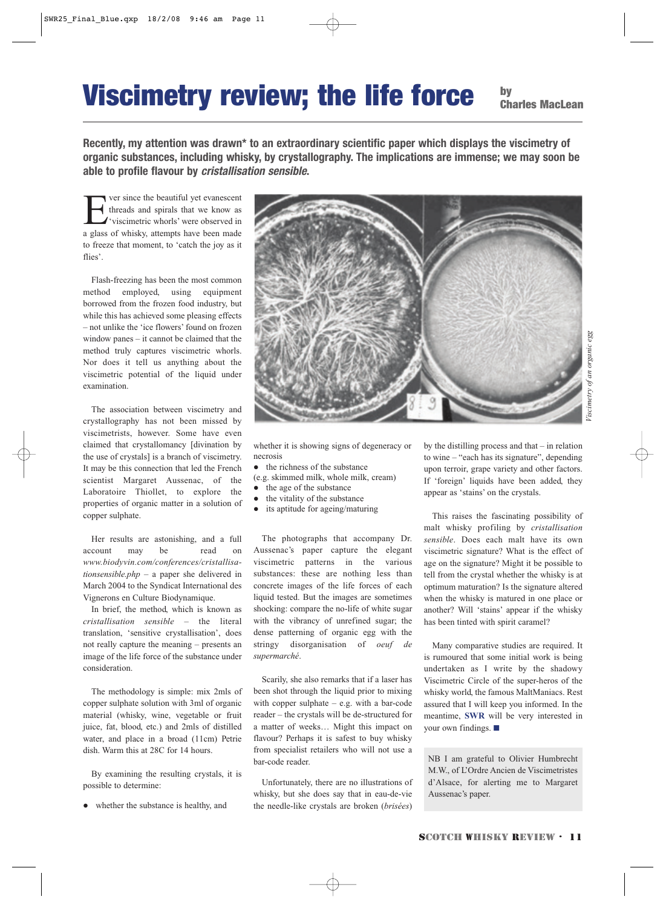## Viscimetry review; the life force

by Charles MacLean

**Recently, my attention was drawn\* to an extraordinary scientific paper which displays the viscimetry of organic substances, including whisky, by crystallography. The implications are immense; we may soon be able to profile flavour by cristallisation sensible.**

The versince the beautiful yet evanescent<br>threads and spirals that we know as<br>visit intervals were observed in<br>a glass of whisky attemnts have been made threads and spirals that we know as 'viscimetric whorls' were observed in a glass of whisky, attempts have been made to freeze that moment, to 'catch the joy as it flies'.

Flash-freezing has been the most common method employed, using equipment borrowed from the frozen food industry, but while this has achieved some pleasing effects – not unlike the 'ice flowers' found on frozen window panes – it cannot be claimed that the method truly captures viscimetric whorls. Nor does it tell us anything about the viscimetric potential of the liquid under examination.

The association between viscimetry and crystallography has not been missed by viscimetrists, however. Some have even claimed that crystallomancy [divination by the use of crystals] is a branch of viscimetry. It may be this connection that led the French scientist Margaret Aussenac, of the Laboratoire Thiollet, to explore the properties of organic matter in a solution of copper sulphate.

Her results are astonishing, and a full account may be read on *www.biodyvin.com/conferences/cristallisationsensible.php* – a paper she delivered in March 2004 to the Syndicat International des Vignerons en Culture Biodynamique.

In brief, the method, which is known as *cristallisation sensible* – the literal translation, 'sensitive crystallisation', does not really capture the meaning – presents an image of the life force of the substance under consideration.

The methodology is simple: mix 2mls of copper sulphate solution with 3ml of organic material (whisky, wine, vegetable or fruit juice, fat, blood, etc.) and 2mls of distilled water, and place in a broad (11cm) Petrie dish. Warm this at 28C for 14 hours.

By examining the resulting crystals, it is possible to determine:

whether the substance is healthy, and



whether it is showing signs of degeneracy or necrosis

 $\bullet$  the richness of the substance

(e.g. skimmed milk, whole milk, cream)

- $\bullet$  the age of the substance
- the vitality of the substance
- its aptitude for ageing/maturing

The photographs that accompany Dr. Aussenac's paper capture the elegant viscimetric patterns in the various substances: these are nothing less than concrete images of the life forces of each liquid tested. But the images are sometimes shocking: compare the no-life of white sugar with the vibrancy of unrefined sugar; the dense patterning of organic egg with the stringy disorganisation of *oeuf de supermarché*.

Scarily, she also remarks that if a laser has been shot through the liquid prior to mixing with copper sulphate – e.g. with a bar-code reader – the crystals will be de-structured for a matter of weeks… Might this impact on flavour? Perhaps it is safest to buy whisky from specialist retailers who will not use a bar-code reader.

Unfortunately, there are no illustrations of whisky, but she does say that in eau-de-vie the needle-like crystals are broken (*brisées*)

by the distilling process and that – in relation to wine – "each has its signature", depending upon terroir, grape variety and other factors. If 'foreign' liquids have been added, they appear as 'stains' on the crystals.

This raises the fascinating possibility of malt whisky profiling by *cristallisation sensible*. Does each malt have its own viscimetric signature? What is the effect of age on the signature? Might it be possible to tell from the crystal whether the whisky is at optimum maturation? Is the signature altered when the whisky is matured in one place or another? Will 'stains' appear if the whisky has been tinted with spirit caramel?

Many comparative studies are required. It is rumoured that some initial work is being undertaken as I write by the shadowy Viscimetric Circle of the super-heros of the whisky world, the famous MaltManiacs. Rest assured that I will keep you informed. In the meantime, **SWR** will be very interested in your own findings. ■

NB I am grateful to Olivier Humbrecht M.W., of L'Ordre Ancien de Viscimetristes d'Alsace, for alerting me to Margaret Aussenac's paper.